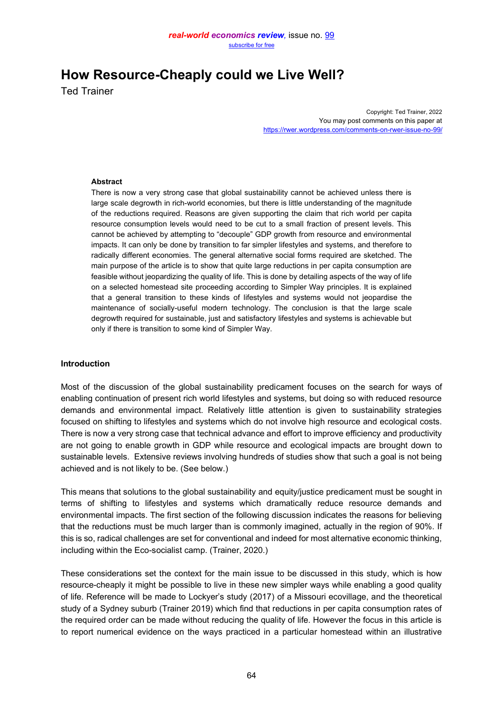# **How Resource-Cheaply could we Live Well?**

Ted Trainer

Copyright: Ted Trainer, 2022 You may post comments on this paper at <https://rwer.wordpress.com/comments-on-rwer-issue-no-99/>

#### **Abstract**

There is now a very strong case that global sustainability cannot be achieved unless there is large scale degrowth in rich-world economies, but there is little understanding of the magnitude of the reductions required. Reasons are given supporting the claim that rich world per capita resource consumption levels would need to be cut to a small fraction of present levels. This cannot be achieved by attempting to "decouple" GDP growth from resource and environmental impacts. It can only be done by transition to far simpler lifestyles and systems, and therefore to radically different economies. The general alternative social forms required are sketched. The main purpose of the article is to show that quite large reductions in per capita consumption are feasible without jeopardizing the quality of life. This is done by detailing aspects of the way of life on a selected homestead site proceeding according to Simpler Way principles. It is explained that a general transition to these kinds of lifestyles and systems would not jeopardise the maintenance of socially-useful modern technology. The conclusion is that the large scale degrowth required for sustainable, just and satisfactory lifestyles and systems is achievable but only if there is transition to some kind of Simpler Way.

#### **Introduction**

Most of the discussion of the global sustainability predicament focuses on the search for ways of enabling continuation of present rich world lifestyles and systems, but doing so with reduced resource demands and environmental impact. Relatively little attention is given to sustainability strategies focused on shifting to lifestyles and systems which do not involve high resource and ecological costs. There is now a very strong case that technical advance and effort to improve efficiency and productivity are not going to enable growth in GDP while resource and ecological impacts are brought down to sustainable levels. Extensive reviews involving hundreds of studies show that such a goal is not being achieved and is not likely to be. (See below.)

This means that solutions to the global sustainability and equity/justice predicament must be sought in terms of shifting to lifestyles and systems which dramatically reduce resource demands and environmental impacts. The first section of the following discussion indicates the reasons for believing that the reductions must be much larger than is commonly imagined, actually in the region of 90%. If this is so, radical challenges are set for conventional and indeed for most alternative economic thinking, including within the Eco-socialist camp. (Trainer, 2020.)

These considerations set the context for the main issue to be discussed in this study, which is how resource-cheaply it might be possible to live in these new simpler ways while enabling a good quality of life. Reference will be made to Lockyer's study (2017) of a Missouri ecovillage, and the theoretical study of a Sydney suburb (Trainer 2019) which find that reductions in per capita consumption rates of the required order can be made without reducing the quality of life. However the focus in this article is to report numerical evidence on the ways practiced in a particular homestead within an illustrative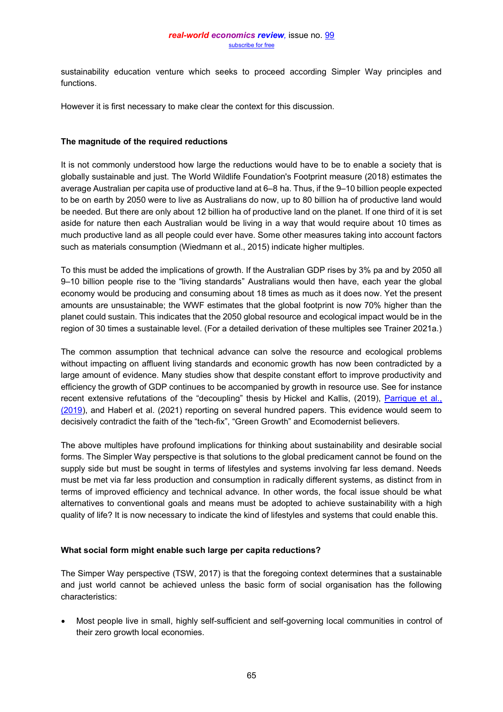sustainability education venture which seeks to proceed according Simpler Way principles and functions.

However it is first necessary to make clear the context for this discussion.

# **The magnitude of the required reductions**

It is not commonly understood how large the reductions would have to be to enable a society that is globally sustainable and just. The World Wildlife Foundation's Footprint measure (2018) estimates the average Australian per capita use of productive land at 6-8 ha. Thus, if the 9-10 billion people expected to be on earth by 2050 were to live as Australians do now, up to 80 billion ha of productive land would be needed. But there are only about 12 billion ha of productive land on the planet. If one third of it is set aside for nature then each Australian would be living in a way that would require about 10 times as much productive land as all people could ever have. Some other measures taking into account factors such as materials consumption (Wiedmann et al., 2015) indicate higher multiples.

To this must be added the implications of growth. If the Australian GDP rises by 3% pa and by 2050 all 9-10 billion people rise to the "living standards" Australians would then have, each year the global economy would be producing and consuming about 18 times as much as it does now. Yet the present amounts are unsustainable; the WWF estimates that the global footprint is now 70% higher than the planet could sustain. This indicates that the 2050 global resource and ecological impact would be in the region of 30 times a sustainable level. (For a detailed derivation of these multiples see Trainer 2021a.)

The common assumption that technical advance can solve the resource and ecological problems without impacting on affluent living standards and economic growth has now been contradicted by a large amount of evidence. Many studies show that despite constant effort to improve productivity and efficiency the growth of GDP continues to be accompanied by growth in resource use. See for instance recent extensive refutations of the "decoupling" thesis by Hickel and Kallis, (2019), Parrique et al., [\(2019\)](https://www.sciencedirect.com/science/article/pii/S0921800919307335%23bib0075), and Haberl et al. (2021) reporting on several hundred papers. This evidence would seem to decisively contradict the faith of the "tech-fix", "Green Growth" and Ecomodernist believers.

The above multiples have profound implications for thinking about sustainability and desirable social forms. The Simpler Way perspective is that solutions to the global predicament cannot be found on the supply side but must be sought in terms of lifestyles and systems involving far less demand. Needs must be met via far less production and consumption in radically different systems, as distinct from in terms of improved efficiency and technical advance. In other words, the focal issue should be what alternatives to conventional goals and means must be adopted to achieve sustainability with a high quality of life? It is now necessary to indicate the kind of lifestyles and systems that could enable this.

# **What social form might enable such large per capita reductions?**

The Simper Way perspective (TSW, 2017) is that the foregoing context determines that a sustainable and just world cannot be achieved unless the basic form of social organisation has the following characteristics:

x Most people live in small, highly self-sufficient and self-governing local communities in control of their zero growth local economies.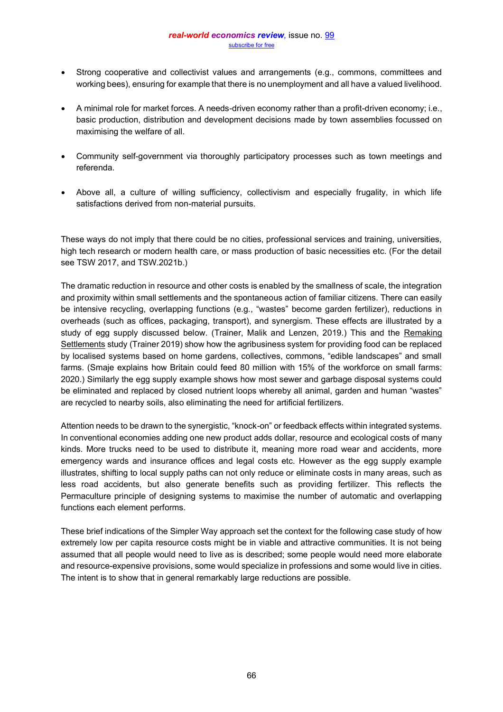- Strong cooperative and collectivist values and arrangements (e.g., commons, committees and working bees), ensuring for example that there is no unemployment and all have a valued livelihood.
- A minimal role for market forces. A needs-driven economy rather than a profit-driven economy; i.e., basic production, distribution and development decisions made by town assemblies focussed on maximising the welfare of all.
- Community self-government via thoroughly participatory processes such as town meetings and referenda.
- Above all, a culture of willing sufficiency, collectivism and especially frugality, in which life satisfactions derived from non-material pursuits.

These ways do not imply that there could be no cities, professional services and training, universities, high tech research or modern health care, or mass production of basic necessities etc. (For the detail see TSW 2017, and TSW.2021b.)

The dramatic reduction in resource and other costs is enabled by the smallness of scale, the integration and proximity within small settlements and the spontaneous action of familiar citizens. There can easily be intensive recycling, overlapping functions (e.g., "wastes" become garden fertilizer), reductions in overheads (such as offices, packaging, transport), and synergism. These effects are illustrated by a study of egg supply discussed below. (Trainer, Malik and Lenzen, 2019.) This and the Remaking Settlements study (Trainer 2019) show how the agribusiness system for providing food can be replaced by localised systems based on home gardens, collectives, commons, "edible landscapes" and small farms. (Smaje explains how Britain could feed 80 million with 15% of the workforce on small farms: 2020.) Similarly the egg supply example shows how most sewer and garbage disposal systems could be eliminated and replaced by closed nutrient loops whereby all animal, garden and human "wastes" are recycled to nearby soils, also eliminating the need for artificial fertilizers.

Attention needs to be drawn to the synergistic, "knock-on" or feedback effects within integrated systems. In conventional economies adding one new product adds dollar, resource and ecological costs of many kinds. More trucks need to be used to distribute it, meaning more road wear and accidents, more emergency wards and insurance offices and legal costs etc. However as the egg supply example illustrates, shifting to local supply paths can not only reduce or eliminate costs in many areas, such as less road accidents, but also generate benefits such as providing fertilizer. This reflects the Permaculture principle of designing systems to maximise the number of automatic and overlapping functions each element performs.

These brief indications of the Simpler Way approach set the context for the following case study of how extremely low per capita resource costs might be in viable and attractive communities. It is not being assumed that all people would need to live as is described; some people would need more elaborate and resource-expensive provisions, some would specialize in professions and some would live in cities. The intent is to show that in general remarkably large reductions are possible.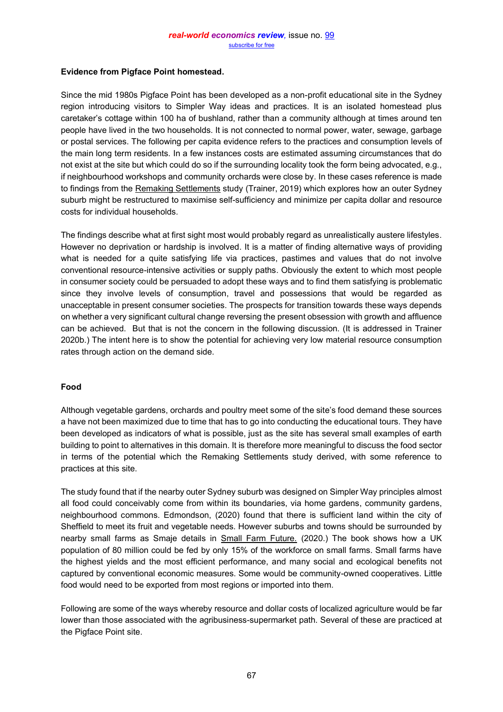# **Evidence from Pigface Point homestead.**

Since the mid 1980s Pigface Point has been developed as a non-profit educational site in the Sydney region introducing visitors to Simpler Way ideas and practices. It is an isolated homestead plus caretaker's cottage within 100 ha of bushland, rather than a community although at times around ten people have lived in the two households. It is not connected to normal power, water, sewage, garbage or postal services. The following per capita evidence refers to the practices and consumption levels of the main long term residents. In a few instances costs are estimated assuming circumstances that do not exist at the site but which could do so if the surrounding locality took the form being advocated, e.g., if neighbourhood workshops and community orchards were close by. In these cases reference is made to findings from the Remaking Settlements study (Trainer, 2019) which explores how an outer Sydney suburb might be restructured to maximise self-sufficiency and minimize per capita dollar and resource costs for individual households.

The findings describe what at first sight most would probably regard as unrealistically austere lifestyles. However no deprivation or hardship is involved. It is a matter of finding alternative ways of providing what is needed for a quite satisfying life via practices, pastimes and values that do not involve conventional resource-intensive activities or supply paths. Obviously the extent to which most people in consumer society could be persuaded to adopt these ways and to find them satisfying is problematic since they involve levels of consumption, travel and possessions that would be regarded as unacceptable in present consumer societies. The prospects for transition towards these ways depends on whether a very significant cultural change reversing the present obsession with growth and affluence can be achieved. But that is not the concern in the following discussion. (It is addressed in Trainer 2020b.) The intent here is to show the potential for achieving very low material resource consumption rates through action on the demand side.

# **Food**

Although vegetable gardens, orchards and poultry meet some of the site's food demand these sources a have not been maximized due to time that has to go into conducting the educational tours. They have been developed as indicators of what is possible, just as the site has several small examples of earth building to point to alternatives in this domain. It is therefore more meaningful to discuss the food sector in terms of the potential which the Remaking Settlements study derived, with some reference to practices at this site.

The study found that if the nearby outer Sydney suburb was designed on Simpler Way principles almost all food could conceivably come from within its boundaries, via home gardens, community gardens, neighbourhood commons. Edmondson, (2020) found that there is sufficient land within the city of Sheffield to meet its fruit and vegetable needs. However suburbs and towns should be surrounded by nearby small farms as Smaje details in Small Farm Future. (2020.) The book shows how a UK population of 80 million could be fed by only 15% of the workforce on small farms. Small farms have the highest yields and the most efficient performance, and many social and ecological benefits not captured by conventional economic measures. Some would be community-owned cooperatives. Little food would need to be exported from most regions or imported into them.

Following are some of the ways whereby resource and dollar costs of localized agriculture would be far lower than those associated with the agribusiness-supermarket path. Several of these are practiced at the Pigface Point site.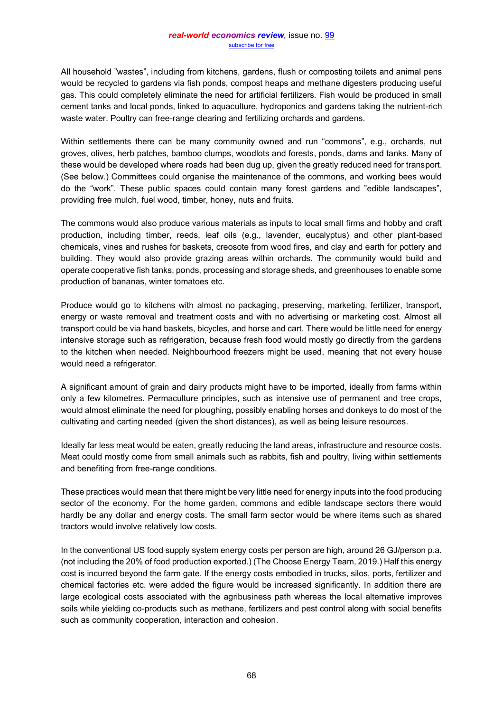All household "wastes", including from kitchens, gardens, flush or composting toilets and animal pens would be recycled to gardens via fish ponds, compost heaps and methane digesters producing useful gas. This could completely eliminate the need for artificial fertilizers. Fish would be produced in small cement tanks and local ponds, linked to aquaculture, hydroponics and gardens taking the nutrient-rich waste water. Poultry can free-range clearing and fertilizing orchards and gardens.

Within settlements there can be many community owned and run "commons", e.g., orchards, nut groves, olives, herb patches, bamboo clumps, woodlots and forests, ponds, dams and tanks. Many of these would be developed where roads had been dug up, given the greatly reduced need for transport. (See below.) Committees could organise the maintenance of the commons, and working bees would do the "work". These public spaces could contain many forest gardens and "edible landscapes", providing free mulch, fuel wood, timber, honey, nuts and fruits.

The commons would also produce various materials as inputs to local small firms and hobby and craft production, including timber, reeds, leaf oils (e.g., lavender, eucalyptus) and other plant-based chemicals, vines and rushes for baskets, creosote from wood fires, and clay and earth for pottery and building. They would also provide grazing areas within orchards. The community would build and operate cooperative fish tanks, ponds, processing and storage sheds, and greenhouses to enable some production of bananas, winter tomatoes etc.

Produce would go to kitchens with almost no packaging, preserving, marketing, fertilizer, transport, energy or waste removal and treatment costs and with no advertising or marketing cost. Almost all transport could be via hand baskets, bicycles, and horse and cart. There would be little need for energy intensive storage such as refrigeration, because fresh food would mostly go directly from the gardens to the kitchen when needed. Neighbourhood freezers might be used, meaning that not every house would need a refrigerator.

A significant amount of grain and dairy products might have to be imported, ideally from farms within only a few kilometres. Permaculture principles, such as intensive use of permanent and tree crops, would almost eliminate the need for ploughing, possibly enabling horses and donkeys to do most of the cultivating and carting needed (given the short distances), as well as being leisure resources.

Ideally far less meat would be eaten, greatly reducing the land areas, infrastructure and resource costs. Meat could mostly come from small animals such as rabbits, fish and poultry, living within settlements and benefiting from free-range conditions.

These practices would mean that there might be very little need for energy inputs into the food producing sector of the economy. For the home garden, commons and edible landscape sectors there would hardly be any dollar and energy costs. The small farm sector would be where items such as shared tractors would involve relatively low costs.

In the conventional US food supply system energy costs per person are high, around 26 GJ/person p.a. (not including the 20% of food production exported.) (The Choose Energy Team, 2019.) Half this energy cost is incurred beyond the farm gate. If the energy costs embodied in trucks, silos, ports, fertilizer and chemical factories etc. were added the figure would be increased significantly. In addition there are large ecological costs associated with the agribusiness path whereas the local alternative improves soils while yielding co-products such as methane, fertilizers and pest control along with social benefits such as community cooperation, interaction and cohesion.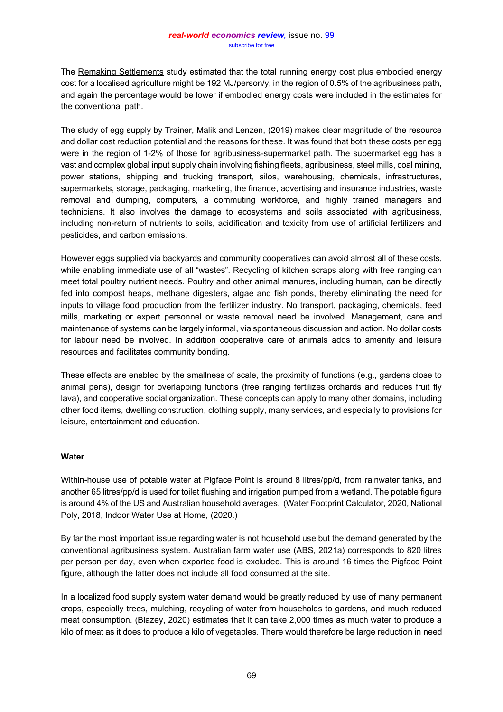The Remaking Settlements study estimated that the total running energy cost plus embodied energy cost for a localised agriculture might be 192 MJ/person/y, in the region of 0.5% of the agribusiness path, and again the percentage would be lower if embodied energy costs were included in the estimates for the conventional path.

The study of egg supply by Trainer, Malik and Lenzen, (2019) makes clear magnitude of the resource and dollar cost reduction potential and the reasons for these. It was found that both these costs per egg were in the region of 1-2% of those for agribusiness-supermarket path. The supermarket egg has a vast and complex global input supply chain involving fishing fleets, agribusiness, steel mills, coal mining, power stations, shipping and trucking transport, silos, warehousing, chemicals, infrastructures, supermarkets, storage, packaging, marketing, the finance, advertising and insurance industries, waste removal and dumping, computers, a commuting workforce, and highly trained managers and technicians. It also involves the damage to ecosystems and soils associated with agribusiness, including non-return of nutrients to soils, acidification and toxicity from use of artificial fertilizers and pesticides, and carbon emissions.

However eggs supplied via backyards and community cooperatives can avoid almost all of these costs, while enabling immediate use of all "wastes". Recycling of kitchen scraps along with free ranging can meet total poultry nutrient needs. Poultry and other animal manures, including human, can be directly fed into compost heaps, methane digesters, algae and fish ponds, thereby eliminating the need for inputs to village food production from the fertilizer industry. No transport, packaging, chemicals, feed mills, marketing or expert personnel or waste removal need be involved. Management, care and maintenance of systems can be largely informal, via spontaneous discussion and action. No dollar costs for labour need be involved. In addition cooperative care of animals adds to amenity and leisure resources and facilitates community bonding.

These effects are enabled by the smallness of scale, the proximity of functions (e.g., gardens close to animal pens), design for overlapping functions (free ranging fertilizes orchards and reduces fruit fly lava), and cooperative social organization. These concepts can apply to many other domains, including other food items, dwelling construction, clothing supply, many services, and especially to provisions for leisure, entertainment and education.

# **Water**

Within-house use of potable water at Pigface Point is around 8 litres/pp/d, from rainwater tanks, and another 65 litres/pp/d is used for toilet flushing and irrigation pumped from a wetland. The potable figure is around 4% of the US and Australian household averages. (Water Footprint Calculator, 2020, National Poly, 2018, Indoor Water Use at Home, (2020.)

By far the most important issue regarding water is not household use but the demand generated by the conventional agribusiness system. Australian farm water use (ABS, 2021a) corresponds to 820 litres per person per day, even when exported food is excluded. This is around 16 times the Pigface Point figure, although the latter does not include all food consumed at the site.

In a localized food supply system water demand would be greatly reduced by use of many permanent crops, especially trees, mulching, recycling of water from households to gardens, and much reduced meat consumption. (Blazey, 2020) estimates that it can take 2,000 times as much water to produce a kilo of meat as it does to produce a kilo of vegetables. There would therefore be large reduction in need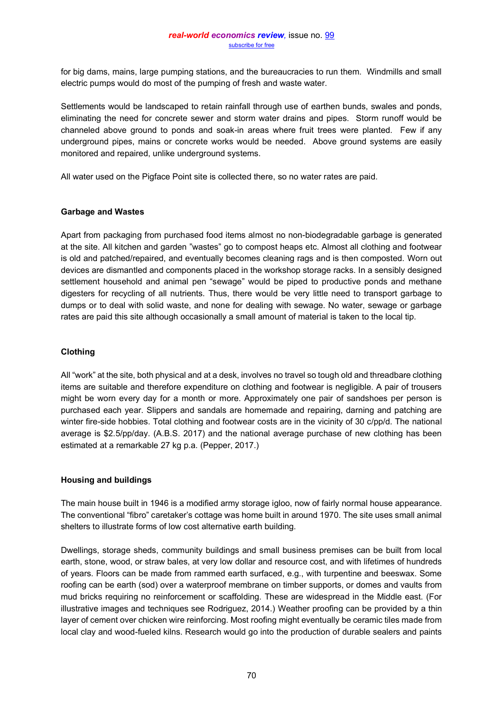for big dams, mains, large pumping stations, and the bureaucracies to run them. Windmills and small electric pumps would do most of the pumping of fresh and waste water.

Settlements would be landscaped to retain rainfall through use of earthen bunds, swales and ponds, eliminating the need for concrete sewer and storm water drains and pipes. Storm runoff would be channeled above ground to ponds and soak-in areas where fruit trees were planted. Few if any underground pipes, mains or concrete works would be needed. Above ground systems are easily monitored and repaired, unlike underground systems.

All water used on the Pigface Point site is collected there, so no water rates are paid.

#### **Garbage and Wastes**

Apart from packaging from purchased food items almost no non-biodegradable garbage is generated at the site. All kitchen and garden "wastes" go to compost heaps etc. Almost all clothing and footwear is old and patched/repaired, and eventually becomes cleaning rags and is then composted. Worn out devices are dismantled and components placed in the workshop storage racks. In a sensibly designed settlement household and animal pen "sewage" would be piped to productive ponds and methane digesters for recycling of all nutrients. Thus, there would be very little need to transport garbage to dumps or to deal with solid waste, and none for dealing with sewage. No water, sewage or garbage rates are paid this site although occasionally a small amount of material is taken to the local tip.

#### **Clothing**

All "work" at the site, both physical and at a desk, involves no travel so tough old and threadbare clothing items are suitable and therefore expenditure on clothing and footwear is negligible. A pair of trousers might be worn every day for a month or more. Approximately one pair of sandshoes per person is purchased each year. Slippers and sandals are homemade and repairing, darning and patching are winter fire-side hobbies. Total clothing and footwear costs are in the vicinity of 30 c/pp/d. The national average is \$2.5/pp/day. (A.B.S. 2017) and the national average purchase of new clothing has been estimated at a remarkable 27 kg p.a. (Pepper, 2017.)

# **Housing and buildings**

The main house built in 1946 is a modified army storage igloo, now of fairly normal house appearance. The conventional "fibro" caretaker's cottage was home built in around 1970. The site uses small animal shelters to illustrate forms of low cost alternative earth building.

Dwellings, storage sheds, community buildings and small business premises can be built from local earth, stone, wood, or straw bales, at very low dollar and resource cost, and with lifetimes of hundreds of years. Floors can be made from rammed earth surfaced, e.g., with turpentine and beeswax. Some roofing can be earth (sod) over a waterproof membrane on timber supports, or domes and vaults from mud bricks requiring no reinforcement or scaffolding. These are widespread in the Middle east. (For illustrative images and techniques see Rodriguez, 2014.) Weather proofing can be provided by a thin layer of cement over chicken wire reinforcing. Most roofing might eventually be ceramic tiles made from local clay and wood-fueled kilns. Research would go into the production of durable sealers and paints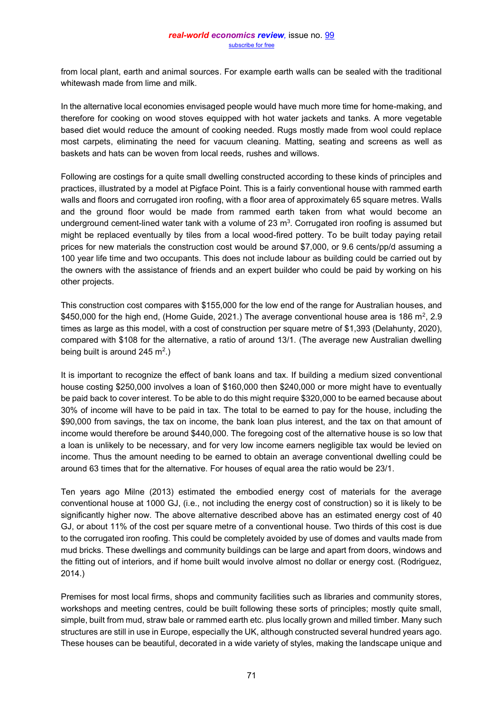from local plant, earth and animal sources. For example earth walls can be sealed with the traditional whitewash made from lime and milk.

In the alternative local economies envisaged people would have much more time for home-making, and therefore for cooking on wood stoves equipped with hot water jackets and tanks. A more vegetable based diet would reduce the amount of cooking needed. Rugs mostly made from wool could replace most carpets, eliminating the need for vacuum cleaning. Matting, seating and screens as well as baskets and hats can be woven from local reeds, rushes and willows.

Following are costings for a quite small dwelling constructed according to these kinds of principles and practices, illustrated by a model at Pigface Point. This is a fairly conventional house with rammed earth walls and floors and corrugated iron roofing, with a floor area of approximately 65 square metres. Walls and the ground floor would be made from rammed earth taken from what would become an underground cement-lined water tank with a volume of 23  $m<sup>3</sup>$ . Corrugated iron roofing is assumed but might be replaced eventually by tiles from a local wood-fired pottery. To be built today paying retail prices for new materials the construction cost would be around \$7,000, or 9.6 cents/pp/d assuming a 100 year life time and two occupants. This does not include labour as building could be carried out by the owners with the assistance of friends and an expert builder who could be paid by working on his other projects.

This construction cost compares with \$155,000 for the low end of the range for Australian houses, and \$450,000 for the high end, (Home Guide, 2021.) The average conventional house area is 186 m<sup>2</sup>, 2.9 times as large as this model, with a cost of construction per square metre of \$1,393 (Delahunty, 2020), compared with \$108 for the alternative, a ratio of around 13/1. (The average new Australian dwelling being built is around  $245 \text{ m}^2$ .)

It is important to recognize the effect of bank loans and tax. If building a medium sized conventional house costing \$250,000 involves a loan of \$160,000 then \$240,000 or more might have to eventually be paid back to cover interest. To be able to do this might require \$320,000 to be earned because about 30% of income will have to be paid in tax. The total to be earned to pay for the house, including the \$90,000 from savings, the tax on income, the bank loan plus interest, and the tax on that amount of income would therefore be around \$440,000. The foregoing cost of the alternative house is so low that a loan is unlikely to be necessary, and for very low income earners negligible tax would be levied on income. Thus the amount needing to be earned to obtain an average conventional dwelling could be around 63 times that for the alternative. For houses of equal area the ratio would be 23/1.

Ten years ago Milne (2013) estimated the embodied energy cost of materials for the average conventional house at 1000 GJ, (i.e., not including the energy cost of construction) so it is likely to be significantly higher now. The above alternative described above has an estimated energy cost of 40 GJ, or about 11% of the cost per square metre of a conventional house. Two thirds of this cost is due to the corrugated iron roofing. This could be completely avoided by use of domes and vaults made from mud bricks. These dwellings and community buildings can be large and apart from doors, windows and the fitting out of interiors, and if home built would involve almost no dollar or energy cost. (Rodriguez, 2014.)

Premises for most local firms, shops and community facilities such as libraries and community stores, workshops and meeting centres, could be built following these sorts of principles; mostly quite small, simple, built from mud, straw bale or rammed earth etc. plus locally grown and milled timber. Many such structures are still in use in Europe, especially the UK, although constructed several hundred years ago. These houses can be beautiful, decorated in a wide variety of styles, making the landscape unique and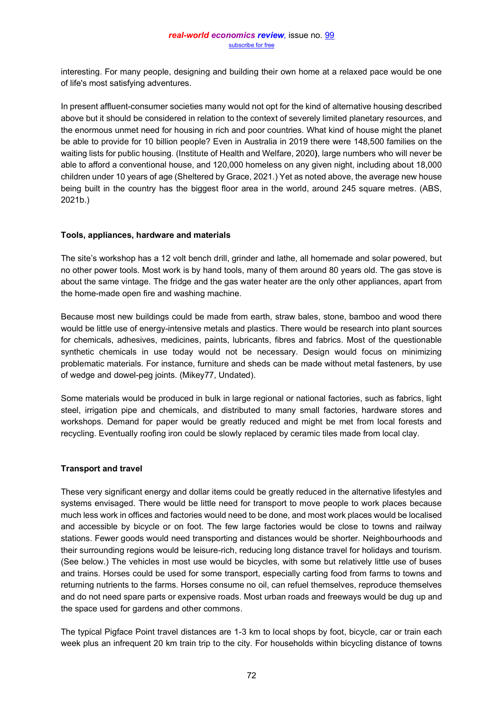interesting. For many people, designing and building their own home at a relaxed pace would be one of life's most satisfying adventures.

In present affluent-consumer societies many would not opt for the kind of alternative housing described above but it should be considered in relation to the context of severely limited planetary resources, and the enormous unmet need for housing in rich and poor countries. What kind of house might the planet be able to provide for 10 billion people? Even in Australia in 2019 there were 148,500 families on the waiting lists for public housing. (Institute of Health and Welfare, 2020**)**, large numbers who will never be able to afford a conventional house, and 120,000 homeless on any given night, including about 18,000 children under 10 years of age (Sheltered by Grace, 2021.) Yet as noted above, the average new house being built in the country has the biggest floor area in the world, around 245 square metres. (ABS, 2021b.)

# **Tools, appliances, hardware and materials**

The site's workshop has a 12 volt bench drill, grinder and lathe, all homemade and solar powered, but no other power tools. Most work is by hand tools, many of them around 80 years old. The gas stove is about the same vintage. The fridge and the gas water heater are the only other appliances, apart from the home-made open fire and washing machine.

Because most new buildings could be made from earth, straw bales, stone, bamboo and wood there would be little use of energy-intensive metals and plastics. There would be research into plant sources for chemicals, adhesives, medicines, paints, lubricants, fibres and fabrics. Most of the questionable synthetic chemicals in use today would not be necessary. Design would focus on minimizing problematic materials. For instance, furniture and sheds can be made without metal fasteners, by use of wedge and dowel-peg joints. (Mikey77, Undated).

Some materials would be produced in bulk in large regional or national factories, such as fabrics, light steel, irrigation pipe and chemicals, and distributed to many small factories, hardware stores and workshops. Demand for paper would be greatly reduced and might be met from local forests and recycling. Eventually roofing iron could be slowly replaced by ceramic tiles made from local clay.

#### **Transport and travel**

These very significant energy and dollar items could be greatly reduced in the alternative lifestyles and systems envisaged. There would be little need for transport to move people to work places because much less work in offices and factories would need to be done, and most work places would be localised and accessible by bicycle or on foot. The few large factories would be close to towns and railway stations. Fewer goods would need transporting and distances would be shorter. Neighbourhoods and their surrounding regions would be leisure-rich, reducing long distance travel for holidays and tourism. (See below.) The vehicles in most use would be bicycles, with some but relatively little use of buses and trains. Horses could be used for some transport, especially carting food from farms to towns and returning nutrients to the farms. Horses consume no oil, can refuel themselves, reproduce themselves and do not need spare parts or expensive roads. Most urban roads and freeways would be dug up and the space used for gardens and other commons.

The typical Pigface Point travel distances are 1-3 km to local shops by foot, bicycle, car or train each week plus an infrequent 20 km train trip to the city. For households within bicycling distance of towns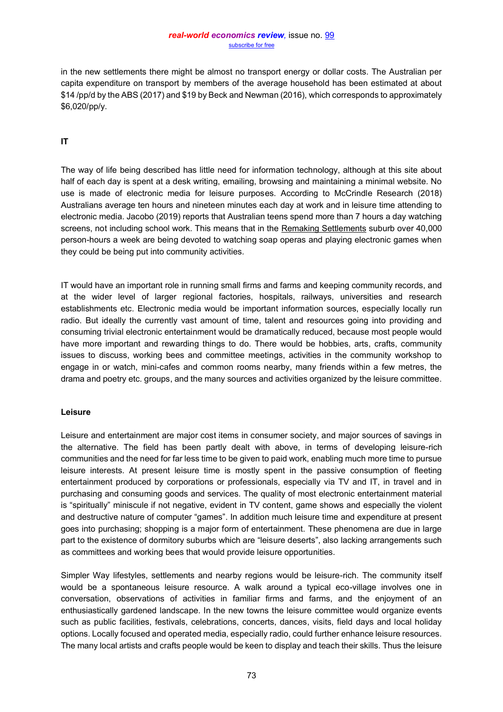in the new settlements there might be almost no transport energy or dollar costs. The Australian per capita expenditure on transport by members of the average household has been estimated at about \$14 /pp/d by the ABS (2017) and \$19 by Beck and Newman (2016), which corresponds to approximately \$6,020/pp/y.

# **IT**

The way of life being described has little need for information technology, although at this site about half of each day is spent at a desk writing, emailing, browsing and maintaining a minimal website. No use is made of electronic media for leisure purposes. According to McCrindle Research (2018) Australians average ten hours and nineteen minutes each day at work and in leisure time attending to electronic media. Jacobo (2019) reports that Australian teens spend more than 7 hours a day watching screens, not including school work. This means that in the Remaking Settlements suburb over 40,000 person-hours a week are being devoted to watching soap operas and playing electronic games when they could be being put into community activities.

IT would have an important role in running small firms and farms and keeping community records, and at the wider level of larger regional factories, hospitals, railways, universities and research establishments etc. Electronic media would be important information sources, especially locally run radio. But ideally the currently vast amount of time, talent and resources going into providing and consuming trivial electronic entertainment would be dramatically reduced, because most people would have more important and rewarding things to do. There would be hobbies, arts, crafts, community issues to discuss, working bees and committee meetings, activities in the community workshop to engage in or watch, mini-cafes and common rooms nearby, many friends within a few metres, the drama and poetry etc. groups, and the many sources and activities organized by the leisure committee.

# **Leisure**

Leisure and entertainment are major cost items in consumer society, and major sources of savings in the alternative. The field has been partly dealt with above, in terms of developing leisure-rich communities and the need for far less time to be given to paid work, enabling much more time to pursue leisure interests. At present leisure time is mostly spent in the passive consumption of fleeting entertainment produced by corporations or professionals, especially via TV and IT, in travel and in purchasing and consuming goods and services. The quality of most electronic entertainment material is "spiritually" miniscule if not negative, evident in TV content, game shows and especially the violent and destructive nature of computer "games". In addition much leisure time and expenditure at present goes into purchasing; shopping is a major form of entertainment. These phenomena are due in large part to the existence of dormitory suburbs which are "leisure deserts", also lacking arrangements such as committees and working bees that would provide leisure opportunities.

Simpler Way lifestyles, settlements and nearby regions would be leisure-rich. The community itself would be a spontaneous leisure resource. A walk around a typical eco-village involves one in conversation, observations of activities in familiar firms and farms, and the enjoyment of an enthusiastically gardened landscape. In the new towns the leisure committee would organize events such as public facilities, festivals, celebrations, concerts, dances, visits, field days and local holiday options. Locally focused and operated media, especially radio, could further enhance leisure resources. The many local artists and crafts people would be keen to display and teach their skills. Thus the leisure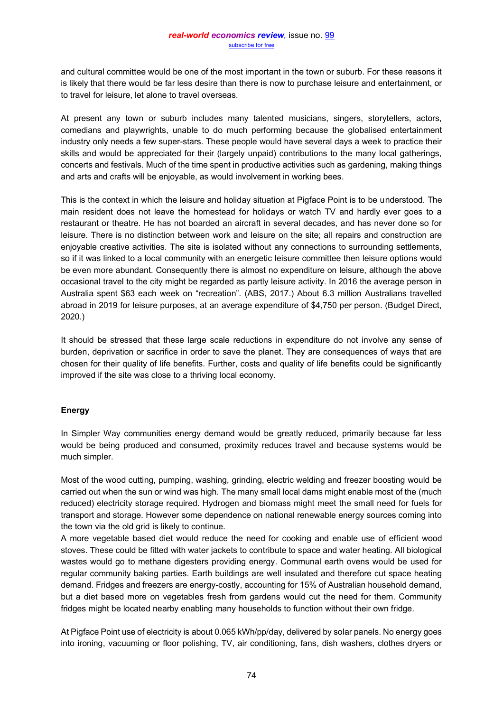and cultural committee would be one of the most important in the town or suburb. For these reasons it is likely that there would be far less desire than there is now to purchase leisure and entertainment, or to travel for leisure, let alone to travel overseas.

At present any town or suburb includes many talented musicians, singers, storytellers, actors, comedians and playwrights, unable to do much performing because the globalised entertainment industry only needs a few super-stars. These people would have several days a week to practice their skills and would be appreciated for their (largely unpaid) contributions to the many local gatherings, concerts and festivals. Much of the time spent in productive activities such as gardening, making things and arts and crafts will be enjoyable, as would involvement in working bees.

This is the context in which the leisure and holiday situation at Pigface Point is to be understood. The main resident does not leave the homestead for holidays or watch TV and hardly ever goes to a restaurant or theatre. He has not boarded an aircraft in several decades, and has never done so for leisure. There is no distinction between work and leisure on the site; all repairs and construction are enjoyable creative activities. The site is isolated without any connections to surrounding settlements, so if it was linked to a local community with an energetic leisure committee then leisure options would be even more abundant. Consequently there is almost no expenditure on leisure, although the above occasional travel to the city might be regarded as partly leisure activity. In 2016 the average person in Australia spent \$63 each week on "recreation". (ABS, 2017.) About 6.3 million Australians travelled abroad in 2019 for leisure purposes, at an average expenditure of \$4,750 per person. (Budget Direct, 2020.)

It should be stressed that these large scale reductions in expenditure do not involve any sense of burden, deprivation or sacrifice in order to save the planet. They are consequences of ways that are chosen for their quality of life benefits. Further, costs and quality of life benefits could be significantly improved if the site was close to a thriving local economy.

# **Energy**

In Simpler Way communities energy demand would be greatly reduced, primarily because far less would be being produced and consumed, proximity reduces travel and because systems would be much simpler.

Most of the wood cutting, pumping, washing, grinding, electric welding and freezer boosting would be carried out when the sun or wind was high. The many small local dams might enable most of the (much reduced) electricity storage required. Hydrogen and biomass might meet the small need for fuels for transport and storage. However some dependence on national renewable energy sources coming into the town via the old grid is likely to continue.

A more vegetable based diet would reduce the need for cooking and enable use of efficient wood stoves. These could be fitted with water jackets to contribute to space and water heating. All biological wastes would go to methane digesters providing energy. Communal earth ovens would be used for regular community baking parties. Earth buildings are well insulated and therefore cut space heating demand. Fridges and freezers are energy-costly, accounting for 15% of Australian household demand, but a diet based more on vegetables fresh from gardens would cut the need for them. Community fridges might be located nearby enabling many households to function without their own fridge.

At Pigface Point use of electricity is about 0.065 kWh/pp/day, delivered by solar panels. No energy goes into ironing, vacuuming or floor polishing, TV, air conditioning, fans, dish washers, clothes dryers or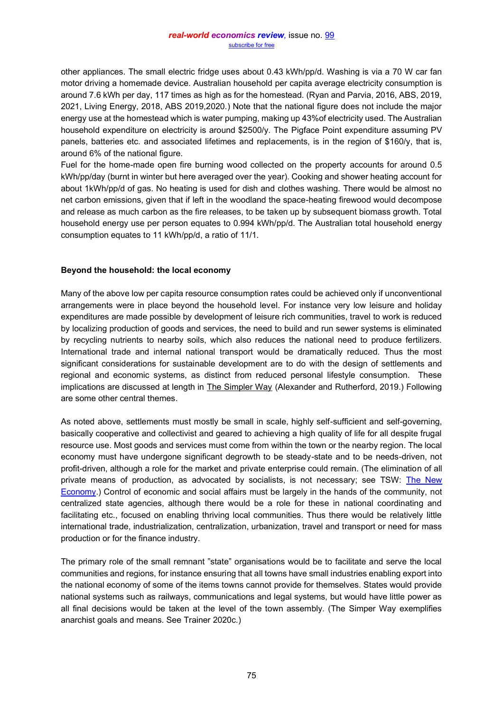other appliances. The small electric fridge uses about 0.43 kWh/pp/d. Washing is via a 70 W car fan motor driving a homemade device. Australian household per capita average electricity consumption is around 7.6 kWh per day, 117 times as high as for the homestead. (Ryan and Parvia, 2016, ABS, 2019, 2021, Living Energy, 2018, ABS 2019,2020.) Note that the national figure does not include the major energy use at the homestead which is water pumping, making up 43%of electricity used. The Australian household expenditure on electricity is around \$2500/y. The Pigface Point expenditure assuming PV panels, batteries etc. and associated lifetimes and replacements, is in the region of \$160/y, that is, around 6% of the national figure.

Fuel for the home-made open fire burning wood collected on the property accounts for around 0.5 kWh/pp/day (burnt in winter but here averaged over the year). Cooking and shower heating account for about 1kWh/pp/d of gas. No heating is used for dish and clothes washing. There would be almost no net carbon emissions, given that if left in the woodland the space-heating firewood would decompose and release as much carbon as the fire releases, to be taken up by subsequent biomass growth. Total household energy use per person equates to 0.994 kWh/pp/d. The Australian total household energy consumption equates to 11 kWh/pp/d, a ratio of 11/1.

#### **Beyond the household: the local economy**

Many of the above low per capita resource consumption rates could be achieved only if unconventional arrangements were in place beyond the household level. For instance very low leisure and holiday expenditures are made possible by development of leisure rich communities, travel to work is reduced by localizing production of goods and services, the need to build and run sewer systems is eliminated by recycling nutrients to nearby soils, which also reduces the national need to produce fertilizers. International trade and internal national transport would be dramatically reduced. Thus the most significant considerations for sustainable development are to do with the design of settlements and regional and economic systems, as distinct from reduced personal lifestyle consumption. These implications are discussed at length in The Simpler Way (Alexander and Rutherford, 2019.) Following are some other central themes.

As noted above, settlements must mostly be small in scale, highly self-sufficient and self-governing, basically cooperative and collectivist and geared to achieving a high quality of life for all despite frugal resource use. Most goods and services must come from within the town or the nearby region. The local economy must have undergone significant degrowth to be steady-state and to be needs-driven, not profit-driven, although a role for the market and private enterprise could remain. (The elimination of all private means of production, as advocated by socialists, is not necessary; see TSW: [The New](https://thesimplerway.info/NEWECONOMY.html)  [Economy.](https://thesimplerway.info/NEWECONOMY.html)) Control of economic and social affairs must be largely in the hands of the community, not centralized state agencies, although there would be a role for these in national coordinating and facilitating etc., focused on enabling thriving local communities. Thus there would be relatively little international trade, industrialization, centralization, urbanization, travel and transport or need for mass production or for the finance industry.

The primary role of the small remnant "state" organisations would be to facilitate and serve the local communities and regions, for instance ensuring that all towns have small industries enabling export into the national economy of some of the items towns cannot provide for themselves. States would provide national systems such as railways, communications and legal systems, but would have little power as all final decisions would be taken at the level of the town assembly. (The Simper Way exemplifies anarchist goals and means. See Trainer 2020c.)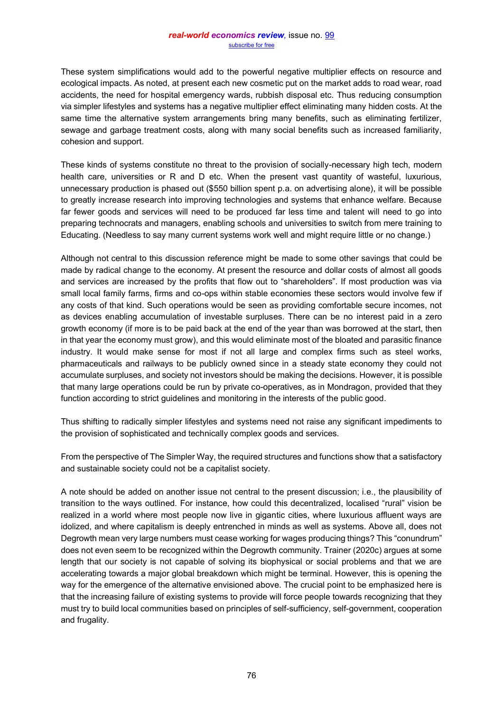These system simplifications would add to the powerful negative multiplier effects on resource and ecological impacts. As noted, at present each new cosmetic put on the market adds to road wear, road accidents, the need for hospital emergency wards, rubbish disposal etc. Thus reducing consumption via simpler lifestyles and systems has a negative multiplier effect eliminating many hidden costs. At the same time the alternative system arrangements bring many benefits, such as eliminating fertilizer, sewage and garbage treatment costs, along with many social benefits such as increased familiarity, cohesion and support.

These kinds of systems constitute no threat to the provision of socially-necessary high tech, modern health care, universities or R and D etc. When the present vast quantity of wasteful, luxurious, unnecessary production is phased out (\$550 billion spent p.a. on advertising alone), it will be possible to greatly increase research into improving technologies and systems that enhance welfare. Because far fewer goods and services will need to be produced far less time and talent will need to go into preparing technocrats and managers, enabling schools and universities to switch from mere training to Educating. (Needless to say many current systems work well and might require little or no change.)

Although not central to this discussion reference might be made to some other savings that could be made by radical change to the economy. At present the resource and dollar costs of almost all goods and services are increased by the profits that flow out to "shareholders". If most production was via small local family farms, firms and co-ops within stable economies these sectors would involve few if any costs of that kind. Such operations would be seen as providing comfortable secure incomes, not as devices enabling accumulation of investable surpluses. There can be no interest paid in a zero growth economy (if more is to be paid back at the end of the year than was borrowed at the start, then in that year the economy must grow), and this would eliminate most of the bloated and parasitic finance industry. It would make sense for most if not all large and complex firms such as steel works, pharmaceuticals and railways to be publicly owned since in a steady state economy they could not accumulate surpluses, and society not investors should be making the decisions. However, it is possible that many large operations could be run by private co-operatives, as in Mondragon, provided that they function according to strict guidelines and monitoring in the interests of the public good.

Thus shifting to radically simpler lifestyles and systems need not raise any significant impediments to the provision of sophisticated and technically complex goods and services.

From the perspective of The Simpler Way, the required structures and functions show that a satisfactory and sustainable society could not be a capitalist society.

A note should be added on another issue not central to the present discussion; i.e., the plausibility of transition to the ways outlined. For instance, how could this decentralized, localised "rural" vision be realized in a world where most people now live in gigantic cities, where luxurious affluent ways are idolized, and where capitalism is deeply entrenched in minds as well as systems. Above all, does not Degrowth mean very large numbers must cease working for wages producing things? This "conundrum" does not even seem to be recognized within the Degrowth community. Trainer (2020c) argues at some length that our society is not capable of solving its biophysical or social problems and that we are accelerating towards a major global breakdown which might be terminal. However, this is opening the way for the emergence of the alternative envisioned above. The crucial point to be emphasized here is that the increasing failure of existing systems to provide will force people towards recognizing that they must try to build local communities based on principles of self-sufficiency, self-government, cooperation and frugality.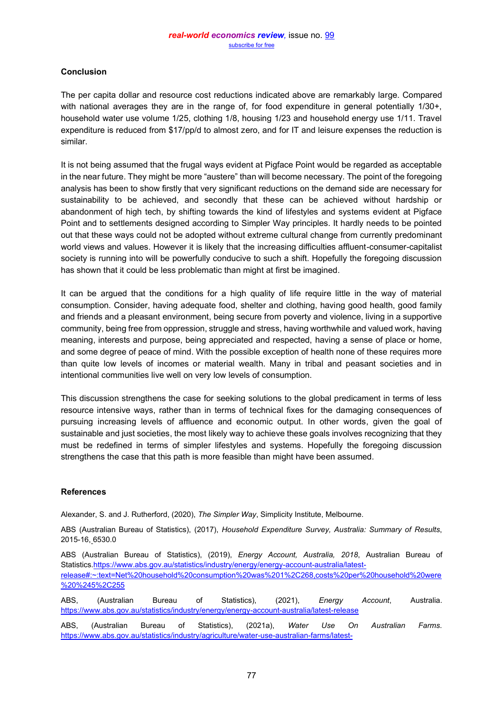# **Conclusion**

The per capita dollar and resource cost reductions indicated above are remarkably large. Compared with national averages they are in the range of, for food expenditure in general potentially 1/30+, household water use volume 1/25, clothing 1/8, housing 1/23 and household energy use 1/11. Travel expenditure is reduced from \$17/pp/d to almost zero, and for IT and leisure expenses the reduction is similar.

It is not being assumed that the frugal ways evident at Pigface Point would be regarded as acceptable in the near future. They might be more "austere" than will become necessary. The point of the foregoing analysis has been to show firstly that very significant reductions on the demand side are necessary for sustainability to be achieved, and secondly that these can be achieved without hardship or abandonment of high tech, by shifting towards the kind of lifestyles and systems evident at Pigface Point and to settlements designed according to Simpler Way principles. It hardly needs to be pointed out that these ways could not be adopted without extreme cultural change from currently predominant world views and values. However it is likely that the increasing difficulties affluent-consumer-capitalist society is running into will be powerfully conducive to such a shift. Hopefully the foregoing discussion has shown that it could be less problematic than might at first be imagined.

It can be argued that the conditions for a high quality of life require little in the way of material consumption. Consider, having adequate food, shelter and clothing, having good health, good family and friends and a pleasant environment, being secure from poverty and violence, living in a supportive community, being free from oppression, struggle and stress, having worthwhile and valued work, having meaning, interests and purpose, being appreciated and respected, having a sense of place or home, and some degree of peace of mind. With the possible exception of health none of these requires more than quite low levels of incomes or material wealth. Many in tribal and peasant societies and in intentional communities live well on very low levels of consumption.

This discussion strengthens the case for seeking solutions to the global predicament in terms of less resource intensive ways, rather than in terms of technical fixes for the damaging consequences of pursuing increasing levels of affluence and economic output. In other words, given the goal of sustainable and just societies, the most likely way to achieve these goals involves recognizing that they must be redefined in terms of simpler lifestyles and systems. Hopefully the foregoing discussion strengthens the case that this path is more feasible than might have been assumed.

# **References**

Alexander, S. and J. Rutherford, (2020), *The Simpler Way*, Simplicity Institute, Melbourne.

ABS (Australian Bureau of Statistics), (2017), *Household Expenditure Survey, Australia: Summary of Results*, 2015-16, 6530.0

ABS (Australian Bureau of Statistics), (2019), *Energy Account, Australia, 2018*, Australian Bureau of Statistic[s.https://www.abs.gov.au/statistics/industry/energy/energy-account-australia/latest](https://www.abs.gov.au/statistics/industry/energy/energy-account-australia/latest-release%23:~:text=Net%20household%20consumption%20was%201,268,costs%20per%20household%20were%20$5,255)[release#:~:text=Net%20household%20consumption%20was%201%2C268,costs%20per%20household%20were](https://www.abs.gov.au/statistics/industry/energy/energy-account-australia/latest-release%23:~:text=Net%20household%20consumption%20was%201,268,costs%20per%20household%20were%20$5,255) [%20%245%2C255](https://www.abs.gov.au/statistics/industry/energy/energy-account-australia/latest-release%23:~:text=Net%20household%20consumption%20was%201,268,costs%20per%20household%20were%20$5,255)

ABS, (Australian Bureau of Statistics), (2021), *Energy Account*, Australia. <https://www.abs.gov.au/statistics/industry/energy/energy-account-australia/latest-release>

ABS, (Australian Bureau of Statistics), (2021a), *Water Use On Australian Farms*. [https://www.abs.gov.au/statistics/industry/agriculture/water-use-australian-farms/latest-](https://www.abs.gov.au/statistics/industry/agriculture/water-use-australian-farms/latest-release%23:~:text=Australian%20farms%20used%20a%20total%20of%208%20million,33%25)%202.3%20million%20megalitres%20of%20groundwater%20(up%206%25))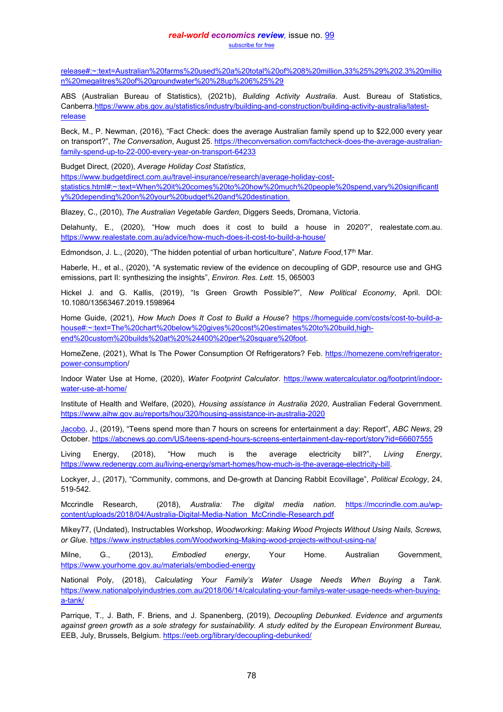[release#:~:text=Australian%20farms%20used%20a%20total%20of%208%20million,33%25%29%202.3%20millio](https://www.abs.gov.au/statistics/industry/agriculture/water-use-australian-farms/latest-release%23:~:text=Australian%20farms%20used%20a%20total%20of%208%20million,33%25)%202.3%20million%20megalitres%20of%20groundwater%20(up%206%25)) [n%20megalitres%20of%20groundwater%20%28up%206%25%29](https://www.abs.gov.au/statistics/industry/agriculture/water-use-australian-farms/latest-release%23:~:text=Australian%20farms%20used%20a%20total%20of%208%20million,33%25)%202.3%20million%20megalitres%20of%20groundwater%20(up%206%25))

ABS (Australian Bureau of Statistics), (2021b), *Building Activity Australia*. Aust. Bureau of Statistics, Canberra[.https://www.abs.gov.au/statistics/industry/building-and-construction/building-activity-australia/latest](https://www.abs.gov.au/statistics/industry/building-and-construction/building-activity-australia/latest-release)[release](https://www.abs.gov.au/statistics/industry/building-and-construction/building-activity-australia/latest-release)

Beck, M., P. Newman, (2016), "Fact Check: does the average Australian family spend up to \$22,000 every year on transport?´, *The Conversation*, August 25. [https://theconversation.com/factcheck-does-the-average-australian](https://theconversation.com/factcheck-does-the-average-australian-family-spend-up-to-22-000-every-year-on-transport-64233)[family-spend-up-to-22-000-every-year-on-transport-64233](https://theconversation.com/factcheck-does-the-average-australian-family-spend-up-to-22-000-every-year-on-transport-64233)

Budget Direct, (2020), *Average Holiday Cost Statistics*,

[https://www.budgetdirect.com.au/travel-insurance/research/average-holiday-cost](https://www.budgetdirect.com.au/travel-insurance/research/average-holiday-cost-statistics.html%23:~:text=When%20it%20comes%20to%20how%20much%20people%20spend,vary%20significantly%20depending%20on%20your%20budget%20and%20destination.)[statistics.html#:~:text=When%20it%20comes%20to%20how%20much%20people%20spend,vary%20significantl](https://www.budgetdirect.com.au/travel-insurance/research/average-holiday-cost-statistics.html%23:~:text=When%20it%20comes%20to%20how%20much%20people%20spend,vary%20significantly%20depending%20on%20your%20budget%20and%20destination.) [y%20depending%20on%20your%20budget%20and%20destination.](https://www.budgetdirect.com.au/travel-insurance/research/average-holiday-cost-statistics.html%23:~:text=When%20it%20comes%20to%20how%20much%20people%20spend,vary%20significantly%20depending%20on%20your%20budget%20and%20destination.)

Blazey, C., (2010), *The Australian Vegetable Garden*, Diggers Seeds, Dromana, Victoria.

Delahunty, E., (2020), "How much does it cost to build a house in 2020?", realestate.com.au. <https://www.realestate.com.au/advice/how-much-does-it-cost-to-build-a-house/>

Edmondson, J. L., (2020), "The hidden potential of urban horticulture", Nature Food,17<sup>th</sup> Mar.

Haberle, H., et al., (2020), "A systematic review of the evidence on decoupling of GDP, resource use and GHG emissions, part II: synthesizing the insights", *Environ, Res. Lett.* 15, 065003

Hickel J. and G. Kallis. (2019), "Is Green Growth Possible?", *New Political Economy*, April. DOI: 10.1080/13563467.2019.1598964

Home Guide, (2021), *How Much Does It Cost to Build a House*? [https://homeguide.com/costs/cost-to-build-a](https://homeguide.com/costs/cost-to-build-a-house%23:~:text=The%20chart%20below%20gives%20cost%20estimates%20to%20build,high-end%20custom%20builds%20at%20$400%20per%20square%20foot)[house#:~:text=The%20chart%20below%20gives%20cost%20estimates%20to%20build,high](https://homeguide.com/costs/cost-to-build-a-house%23:~:text=The%20chart%20below%20gives%20cost%20estimates%20to%20build,high-end%20custom%20builds%20at%20$400%20per%20square%20foot)[end%20custom%20builds%20at%20%24400%20per%20square%20foot.](https://homeguide.com/costs/cost-to-build-a-house%23:~:text=The%20chart%20below%20gives%20cost%20estimates%20to%20build,high-end%20custom%20builds%20at%20$400%20per%20square%20foot)

HomeZene, (2021), What Is The Power Consumption Of Refrigerators? Feb. [https://homezene.com/refrigerator](https://homezene.com/refrigerator-power-consumption)[power-consumption/](https://homezene.com/refrigerator-power-consumption)

Indoor Water Use at Home, (2020), *Water Footprint Calculator*. [https://www.watercalculator.og/footprint/indoor](https://www.watercalculator.og/footprint/indoor-water-use-at-home/)[water-use-at-home/](https://www.watercalculator.og/footprint/indoor-water-use-at-home/)

Institute of Health and Welfare, (2020), *Housing assistance in Australia 2020*, Australian Federal Government. <https://www.aihw.gov.au/reports/hou/320/housing-assistance-in-australia-2020>

[Jacobo](https://abcnews.go.com/author/julia_jacobo), J., (2019), "Teens spend more than 7 hours on screens for entertainment a day: Report", ABC News, 29 October.<https://abcnews.go.com/US/teens-spend-hours-screens-entertainment-day-report/story?id=66607555>

Living Energy, (2018), "How much is the average electricity bill?", *Living Energy*, [https://www.redenergy.com.au/living-energy/smart-homes/how-much-is-the-average-electricity-bill.](https://www.redenergy.com.au/living-energy/smart-homes/how-much-is-the-average-electricity-bill)

Lockyer, J., (2017), "Community, commons, and De-growth at Dancing Rabbit Ecovillage", *Political Ecology*, 24, 519-542.

Mccrindle Research, (2018), *Australia: The digital media nation*. [https://mccrindle.com.au/wp](https://mccrindle.com.au/wp-content/uploads/2018/04/Australia-Digital-Media-Nation_McCrindle-Research.pdf)[content/uploads/2018/04/Australia-Digital-Media-Nation\\_McCrindle-Research.pdf](https://mccrindle.com.au/wp-content/uploads/2018/04/Australia-Digital-Media-Nation_McCrindle-Research.pdf)

Mikey77, (Undated), Instructables Workshop, *Woodworking: Making Wood Projects Without Using Nails, Screws, or Glue*[. https://www.instructables.com/Woodworking-Making-wood-projects-without-using-na/](https://www.instructables.com/Woodworking-Making-wood-projects-without-using-na/)

Milne, G., (2013), *Embodied energy*, Your Home. Australian Government, <https://www.yourhome.gov.au/materials/embodied-energy>

National Poly, (2018), *Calculating Your Family's Water Usage Needs When Buying a Tank.* [https://www.nationalpolyindustries.com.au/2018/06/14/calculating-your-familys-water-usage-needs-when-buying](https://www.nationalpolyindustries.com.au/2018/06/14/calculating-your-familys-water-usage-needs-when-buying-a-tank/)[a-tank/](https://www.nationalpolyindustries.com.au/2018/06/14/calculating-your-familys-water-usage-needs-when-buying-a-tank/)

Parrique, T., J. Bath, F. Briens, and J. Spanenberg, (2019), *Decoupling Debunked. Evidence and arguments against green growth as a sole strategy for sustainability. A study edited by the European Environment Bureau,* EEB, July, Brussels, Belgium.<https://eeb.org/library/decoupling-debunked/>